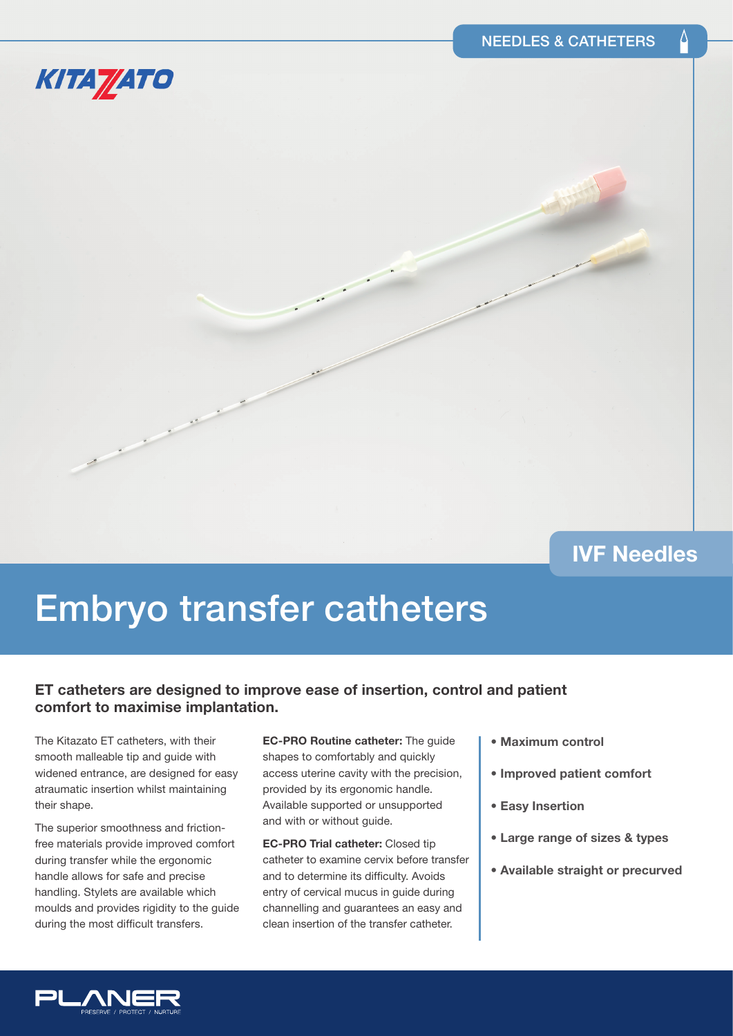

# **IVF Needles**

# Embryo transfer catheters

## **ET catheters are designed to improve ease of insertion, control and patient comfort to maximise implantation.**

The Kitazato ET catheters, with their smooth malleable tip and guide with widened entrance, are designed for easy atraumatic insertion whilst maintaining their shape.

The superior smoothness and frictionfree materials provide improved comfort during transfer while the ergonomic handle allows for safe and precise handling. Stylets are available which moulds and provides rigidity to the guide during the most difficult transfers.

**EC-PRO Routine catheter:** The guide shapes to comfortably and quickly access uterine cavity with the precision, provided by its ergonomic handle. Available supported or unsupported and with or without guide.

**EC-PRO Trial catheter:** Closed tip catheter to examine cervix before transfer and to determine its difficulty. Avoids entry of cervical mucus in guide during channelling and guarantees an easy and clean insertion of the transfer catheter.

- **Maximum control**
- **Improved patient comfort**
- **Easy Insertion**
- **Large range of sizes & types**
- **Available straight or precurved**